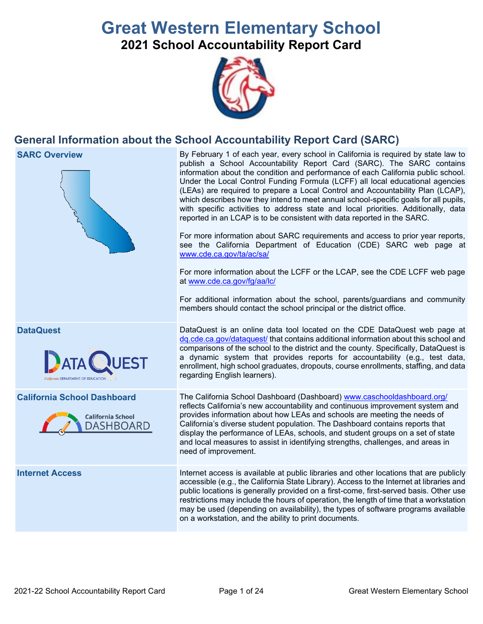# **Great Western Elementary School 2021 School Accountability Report Card**



# **General Information about the School Accountability Report Card (SARC)**



on a workstation, and the ability to print documents.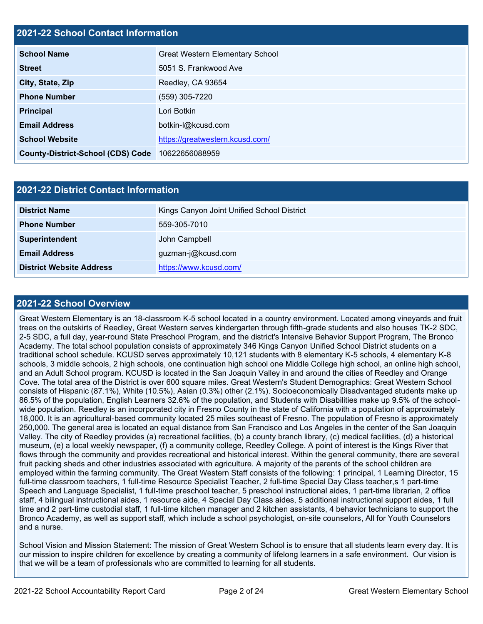# **2021-22 School Contact Information**

| <b>School Name</b>                       | <b>Great Western Elementary School</b> |  |  |  |
|------------------------------------------|----------------------------------------|--|--|--|
| <b>Street</b>                            | 5051 S. Frankwood Ave                  |  |  |  |
| City, State, Zip                         | Reedley, CA 93654                      |  |  |  |
| <b>Phone Number</b>                      | (559) 305-7220                         |  |  |  |
| <b>Principal</b>                         | Lori Botkin                            |  |  |  |
| <b>Email Address</b>                     | botkin-l@kcusd.com                     |  |  |  |
| <b>School Website</b>                    | https://greatwestern.kcusd.com/        |  |  |  |
| <b>County-District-School (CDS) Code</b> | 10622656088959                         |  |  |  |

| <b>2021-22 District Contact Information</b> |                                            |  |  |  |  |
|---------------------------------------------|--------------------------------------------|--|--|--|--|
| <b>District Name</b>                        | Kings Canyon Joint Unified School District |  |  |  |  |
| <b>Phone Number</b>                         | 559-305-7010                               |  |  |  |  |
| Superintendent                              | John Campbell                              |  |  |  |  |
| <b>Email Address</b>                        | guzman-j@kcusd.com                         |  |  |  |  |
| <b>District Website Address</b>             | https://www.kcusd.com/                     |  |  |  |  |

#### **2021-22 School Overview**

Great Western Elementary is an 18-classroom K-5 school located in a country environment. Located among vineyards and fruit trees on the outskirts of Reedley, Great Western serves kindergarten through fifth-grade students and also houses TK-2 SDC, 2-5 SDC, a full day, year-round State Preschool Program, and the district's Intensive Behavior Support Program, The Bronco Academy. The total school population consists of approximately 346 Kings Canyon Unified School District students on a traditional school schedule. KCUSD serves approximately 10,121 students with 8 elementary K-5 schools, 4 elementary K-8 schools, 3 middle schools, 2 high schools, one continuation high school one Middle College high school, an online high school, and an Adult School program. KCUSD is located in the San Joaquin Valley in and around the cities of Reedley and Orange Cove. The total area of the District is over 600 square miles. Great Western's Student Demographics: Great Western School consists of Hispanic (87.1%), White (10.5%), Asian (0.3%) other (2.1%). Socioeconomically Disadvantaged students make up 86.5% of the population, English Learners 32.6% of the population, and Students with Disabilities make up 9.5% of the schoolwide population. Reedley is an incorporated city in Fresno County in the state of California with a population of approximately 18,000. It is an agricultural-based community located 25 miles southeast of Fresno. The population of Fresno is approximately 250,000. The general area is located an equal distance from San Francisco and Los Angeles in the center of the San Joaquin Valley. The city of Reedley provides (a) recreational facilities, (b) a county branch library, (c) medical facilities, (d) a historical museum, (e) a local weekly newspaper, (f) a community college, Reedley College. A point of interest is the Kings River that flows through the community and provides recreational and historical interest. Within the general community, there are several fruit packing sheds and other industries associated with agriculture. A majority of the parents of the school children are employed within the farming community. The Great Western Staff consists of the following: 1 principal, 1 Learning Director, 15 full-time classroom teachers, 1 full-time Resource Specialist Teacher, 2 full-time Special Day Class teacher,s 1 part-time Speech and Language Specialist, 1 full-time preschool teacher, 5 preschool instructional aides, 1 part-time librarian, 2 office staff, 4 bilingual instructional aides, 1 resource aide, 4 Special Day Class aides, 5 additional instructional support aides, 1 full time and 2 part-time custodial staff, 1 full-time kitchen manager and 2 kitchen assistants, 4 behavior technicians to support the Bronco Academy, as well as support staff, which include a school psychologist, on-site counselors, All for Youth Counselors and a nurse.

School Vision and Mission Statement: The mission of Great Western School is to ensure that all students learn every day. It is our mission to inspire children for excellence by creating a community of lifelong learners in a safe environment. Our vision is that we will be a team of professionals who are committed to learning for all students.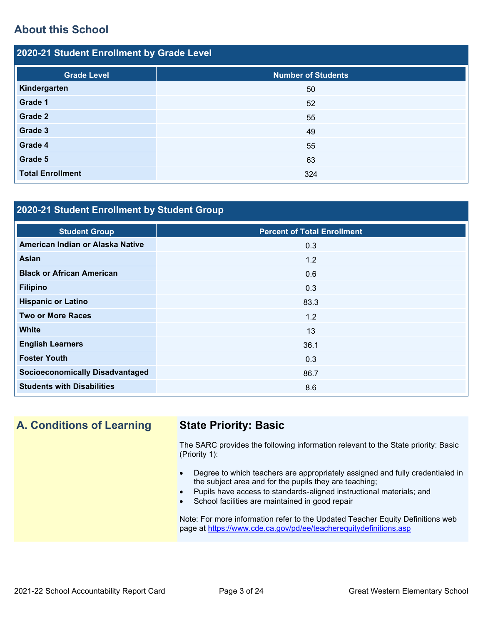# **About this School**

| 2020-21 Student Enrollment by Grade Level |                           |  |  |  |  |  |
|-------------------------------------------|---------------------------|--|--|--|--|--|
| <b>Grade Level</b>                        | <b>Number of Students</b> |  |  |  |  |  |
| Kindergarten                              | 50                        |  |  |  |  |  |
| Grade 1                                   | 52                        |  |  |  |  |  |
| Grade 2                                   | 55                        |  |  |  |  |  |
| Grade 3                                   | 49                        |  |  |  |  |  |
| Grade 4                                   | 55                        |  |  |  |  |  |
| Grade 5                                   | 63                        |  |  |  |  |  |
| <b>Total Enrollment</b>                   | 324                       |  |  |  |  |  |

# **2020-21 Student Enrollment by Student Group**

| <b>Student Group</b>                   | <b>Percent of Total Enrollment</b> |
|----------------------------------------|------------------------------------|
| American Indian or Alaska Native       | 0.3                                |
| <b>Asian</b>                           | 1.2                                |
| <b>Black or African American</b>       | 0.6                                |
| <b>Filipino</b>                        | 0.3                                |
| <b>Hispanic or Latino</b>              | 83.3                               |
| <b>Two or More Races</b>               | 1.2                                |
| <b>White</b>                           | 13                                 |
| <b>English Learners</b>                | 36.1                               |
| <b>Foster Youth</b>                    | 0.3                                |
| <b>Socioeconomically Disadvantaged</b> | 86.7                               |
| <b>Students with Disabilities</b>      | 8.6                                |

**A. Conditions of Learning State Priority: Basic**

The SARC provides the following information relevant to the State priority: Basic (Priority 1):

- Degree to which teachers are appropriately assigned and fully credentialed in the subject area and for the pupils they are teaching;
	- Pupils have access to standards-aligned instructional materials; and
- School facilities are maintained in good repair

Note: For more information refer to the Updated Teacher Equity Definitions web page at<https://www.cde.ca.gov/pd/ee/teacherequitydefinitions.asp>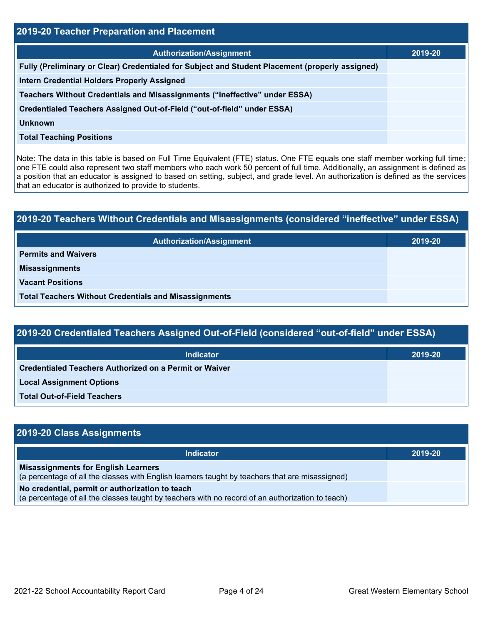| 2019-20 Teacher Preparation and Placement                                                       |         |  |  |  |  |
|-------------------------------------------------------------------------------------------------|---------|--|--|--|--|
| <b>Authorization/Assignment</b>                                                                 | 2019-20 |  |  |  |  |
| Fully (Preliminary or Clear) Credentialed for Subject and Student Placement (properly assigned) |         |  |  |  |  |
| <b>Intern Credential Holders Properly Assigned</b>                                              |         |  |  |  |  |
| Teachers Without Credentials and Misassignments ("ineffective" under ESSA)                      |         |  |  |  |  |
| Credentialed Teachers Assigned Out-of-Field ("out-of-field" under ESSA)                         |         |  |  |  |  |
| Unknown                                                                                         |         |  |  |  |  |
| <b>Total Teaching Positions</b>                                                                 |         |  |  |  |  |

Note: The data in this table is based on Full Time Equivalent (FTE) status. One FTE equals one staff member working full time; one FTE could also represent two staff members who each work 50 percent of full time. Additionally, an assignment is defined as a position that an educator is assigned to based on setting, subject, and grade level. An authorization is defined as the services that an educator is authorized to provide to students.

# **2019-20 Teachers Without Credentials and Misassignments (considered "ineffective" under ESSA) Authorization/Assignment 2019-20 Permits and Waivers Misassignments Vacant Positions Total Teachers Without Credentials and Misassignments**

| 2019-20 Credentialed Teachers Assigned Out-of-Field (considered "out-of-field" under ESSA) |         |  |  |  |  |
|--------------------------------------------------------------------------------------------|---------|--|--|--|--|
| <b>Indicator</b>                                                                           | 2019-20 |  |  |  |  |
| Credentialed Teachers Authorized on a Permit or Waiver                                     |         |  |  |  |  |
| <b>Local Assignment Options</b>                                                            |         |  |  |  |  |
| <b>Total Out-of-Field Teachers</b>                                                         |         |  |  |  |  |

| 2019-20 Class Assignments                                                                                                                           |         |
|-----------------------------------------------------------------------------------------------------------------------------------------------------|---------|
| <b>Indicator</b>                                                                                                                                    | 2019-20 |
| <b>Misassignments for English Learners</b><br>(a percentage of all the classes with English learners taught by teachers that are misassigned)       |         |
| No credential, permit or authorization to teach<br>(a percentage of all the classes taught by teachers with no record of an authorization to teach) |         |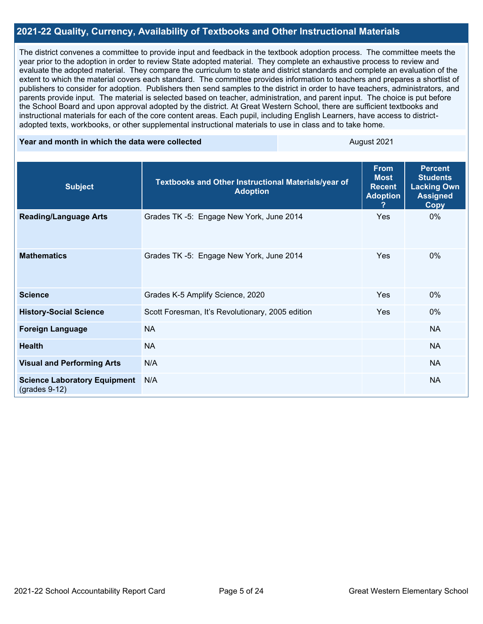#### **2021-22 Quality, Currency, Availability of Textbooks and Other Instructional Materials**

The district convenes a committee to provide input and feedback in the textbook adoption process. The committee meets the year prior to the adoption in order to review State adopted material. They complete an exhaustive process to review and evaluate the adopted material. They compare the curriculum to state and district standards and complete an evaluation of the extent to which the material covers each standard. The committee provides information to teachers and prepares a shortlist of publishers to consider for adoption. Publishers then send samples to the district in order to have teachers, administrators, and parents provide input. The material is selected based on teacher, administration, and parent input. The choice is put before the School Board and upon approval adopted by the district. At Great Western School, there are sufficient textbooks and instructional materials for each of the core content areas. Each pupil, including English Learners, have access to districtadopted texts, workbooks, or other supplemental instructional materials to use in class and to take home.

#### **Year and month in which the data were collected August 2021** August 2021

| <b>Subject</b>                                         | Textbooks and Other Instructional Materials/year of<br><b>Adoption</b> | <b>From</b><br><b>Most</b><br><b>Recent</b><br><b>Adoption</b><br>? | <b>Percent</b><br><b>Students</b><br><b>Lacking Own</b><br><b>Assigned</b><br><b>Copy</b> |
|--------------------------------------------------------|------------------------------------------------------------------------|---------------------------------------------------------------------|-------------------------------------------------------------------------------------------|
| <b>Reading/Language Arts</b>                           | Grades TK -5: Engage New York, June 2014                               | Yes                                                                 | 0%                                                                                        |
| <b>Mathematics</b>                                     | Grades TK -5: Engage New York, June 2014                               | Yes                                                                 | $0\%$                                                                                     |
| <b>Science</b>                                         | Grades K-5 Amplify Science, 2020                                       | Yes                                                                 | $0\%$                                                                                     |
| <b>History-Social Science</b>                          | Scott Foresman, It's Revolutionary, 2005 edition                       | Yes                                                                 | $0\%$                                                                                     |
| <b>Foreign Language</b>                                | <b>NA</b>                                                              |                                                                     | <b>NA</b>                                                                                 |
| <b>Health</b>                                          | <b>NA</b>                                                              |                                                                     | <b>NA</b>                                                                                 |
| <b>Visual and Performing Arts</b>                      | N/A                                                                    |                                                                     | <b>NA</b>                                                                                 |
| <b>Science Laboratory Equipment</b><br>$(grades 9-12)$ | N/A                                                                    |                                                                     | <b>NA</b>                                                                                 |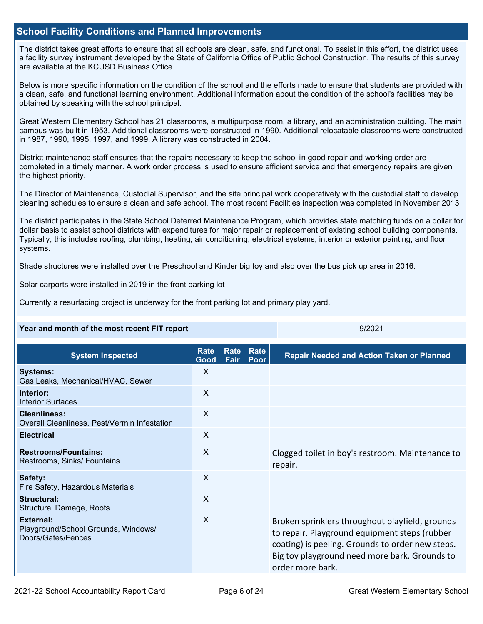#### **School Facility Conditions and Planned Improvements**

The district takes great efforts to ensure that all schools are clean, safe, and functional. To assist in this effort, the district uses a facility survey instrument developed by the State of California Office of Public School Construction. The results of this survey are available at the KCUSD Business Office.

Below is more specific information on the condition of the school and the efforts made to ensure that students are provided with a clean, safe, and functional learning environment. Additional information about the condition of the school's facilities may be obtained by speaking with the school principal.

Great Western Elementary School has 21 classrooms, a multipurpose room, a library, and an administration building. The main campus was built in 1953. Additional classrooms were constructed in 1990. Additional relocatable classrooms were constructed in 1987, 1990, 1995, 1997, and 1999. A library was constructed in 2004.

District maintenance staff ensures that the repairs necessary to keep the school in good repair and working order are completed in a timely manner. A work order process is used to ensure efficient service and that emergency repairs are given the highest priority.

The Director of Maintenance, Custodial Supervisor, and the site principal work cooperatively with the custodial staff to develop cleaning schedules to ensure a clean and safe school. The most recent Facilities inspection was completed in November 2013

The district participates in the State School Deferred Maintenance Program, which provides state matching funds on a dollar for dollar basis to assist school districts with expenditures for major repair or replacement of existing school building components. Typically, this includes roofing, plumbing, heating, air conditioning, electrical systems, interior or exterior painting, and floor systems.

Shade structures were installed over the Preschool and Kinder big toy and also over the bus pick up area in 2016.

Solar carports were installed in 2019 in the front parking lot

Currently a resurfacing project is underway for the front parking lot and primary play yard.

#### **Year and month of the most recent FIT report** All Allen All Allen All Allen All Allen All Allen All All All All

| <b>System Inspected</b>                                                       | <b>Rate</b><br>Good       | Rate<br>Fair | Rate<br>Poor | <b>Repair Needed and Action Taken or Planned</b>                                                                                                                                                                          |
|-------------------------------------------------------------------------------|---------------------------|--------------|--------------|---------------------------------------------------------------------------------------------------------------------------------------------------------------------------------------------------------------------------|
| <b>Systems:</b><br>Gas Leaks, Mechanical/HVAC, Sewer                          | $\times$                  |              |              |                                                                                                                                                                                                                           |
| Interior:<br><b>Interior Surfaces</b>                                         | X                         |              |              |                                                                                                                                                                                                                           |
| <b>Cleanliness:</b><br>Overall Cleanliness, Pest/Vermin Infestation           | $\sf X$                   |              |              |                                                                                                                                                                                                                           |
| <b>Electrical</b>                                                             | $\mathsf{X}$              |              |              |                                                                                                                                                                                                                           |
| <b>Restrooms/Fountains:</b><br>Restrooms, Sinks/ Fountains                    | $\boldsymbol{\mathsf{X}}$ |              |              | Clogged toilet in boy's restroom. Maintenance to<br>repair.                                                                                                                                                               |
| Safety:<br>Fire Safety, Hazardous Materials                                   | X                         |              |              |                                                                                                                                                                                                                           |
| Structural:<br><b>Structural Damage, Roofs</b>                                | X                         |              |              |                                                                                                                                                                                                                           |
| <b>External:</b><br>Playground/School Grounds, Windows/<br>Doors/Gates/Fences | $\boldsymbol{\mathsf{X}}$ |              |              | Broken sprinklers throughout playfield, grounds<br>to repair. Playground equipment steps (rubber<br>coating) is peeling. Grounds to order new steps.<br>Big toy playground need more bark. Grounds to<br>order more bark. |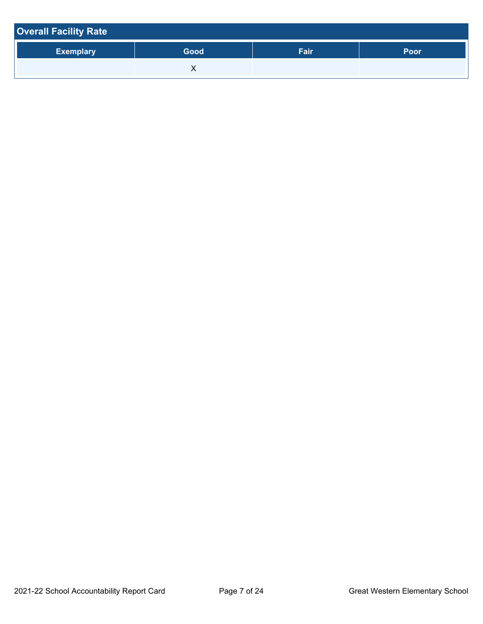| <b>Overall Facility Rate</b> |      |      |      |
|------------------------------|------|------|------|
| <b>Exemplary</b>             | Good | Fair | Poor |
|                              |      |      |      |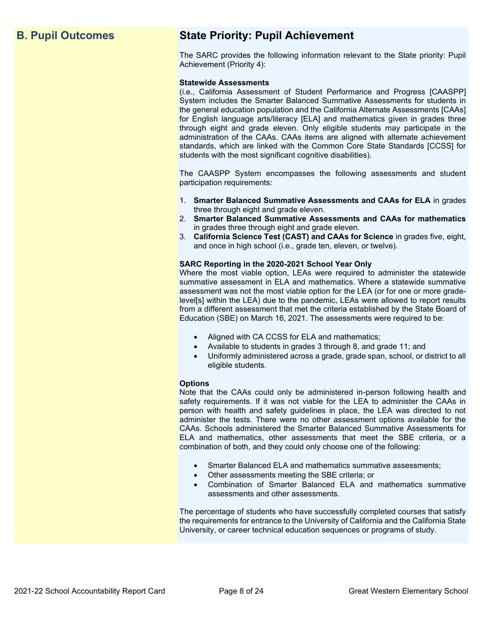# **B. Pupil Outcomes State Priority: Pupil Achievement**

The SARC provides the following information relevant to the State priority: Pupil Achievement (Priority 4):

#### **Statewide Assessments**

(i.e., California Assessment of Student Performance and Progress [CAASPP] System includes the Smarter Balanced Summative Assessments for students in the general education population and the California Alternate Assessments [CAAs] for English language arts/literacy [ELA] and mathematics given in grades three through eight and grade eleven. Only eligible students may participate in the administration of the CAAs. CAAs items are aligned with alternate achievement standards, which are linked with the Common Core State Standards [CCSS] for students with the most significant cognitive disabilities).

The CAASPP System encompasses the following assessments and student participation requirements:

- 1. **Smarter Balanced Summative Assessments and CAAs for ELA** in grades three through eight and grade eleven.
- 2. **Smarter Balanced Summative Assessments and CAAs for mathematics** in grades three through eight and grade eleven.
- 3. **California Science Test (CAST) and CAAs for Science** in grades five, eight, and once in high school (i.e., grade ten, eleven, or twelve).

#### **SARC Reporting in the 2020-2021 School Year Only**

Where the most viable option, LEAs were required to administer the statewide summative assessment in ELA and mathematics. Where a statewide summative assessment was not the most viable option for the LEA (or for one or more gradelevel[s] within the LEA) due to the pandemic, LEAs were allowed to report results from a different assessment that met the criteria established by the State Board of Education (SBE) on March 16, 2021. The assessments were required to be:

- Aligned with CA CCSS for ELA and mathematics;
- Available to students in grades 3 through 8, and grade 11; and
- Uniformly administered across a grade, grade span, school, or district to all eligible students.

#### **Options**

Note that the CAAs could only be administered in-person following health and safety requirements. If it was not viable for the LEA to administer the CAAs in person with health and safety guidelines in place, the LEA was directed to not administer the tests. There were no other assessment options available for the CAAs. Schools administered the Smarter Balanced Summative Assessments for ELA and mathematics, other assessments that meet the SBE criteria, or a combination of both, and they could only choose one of the following:

- Smarter Balanced ELA and mathematics summative assessments;
- Other assessments meeting the SBE criteria; or
- Combination of Smarter Balanced ELA and mathematics summative assessments and other assessments.

The percentage of students who have successfully completed courses that satisfy the requirements for entrance to the University of California and the California State University, or career technical education sequences or programs of study.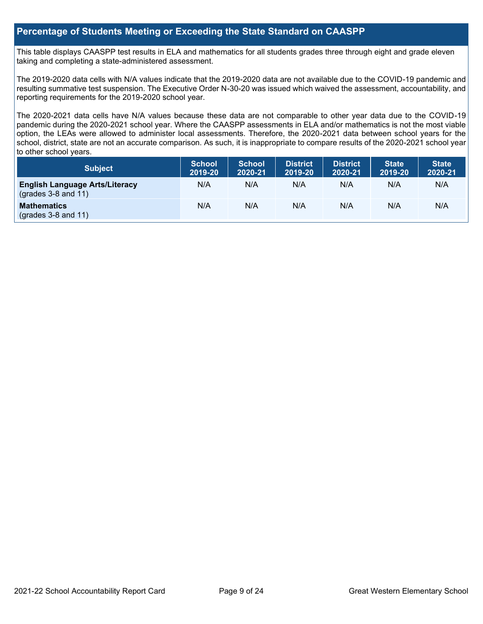#### **Percentage of Students Meeting or Exceeding the State Standard on CAASPP**

This table displays CAASPP test results in ELA and mathematics for all students grades three through eight and grade eleven taking and completing a state-administered assessment.

The 2019-2020 data cells with N/A values indicate that the 2019-2020 data are not available due to the COVID-19 pandemic and resulting summative test suspension. The Executive Order N-30-20 was issued which waived the assessment, accountability, and reporting requirements for the 2019-2020 school year.

The 2020-2021 data cells have N/A values because these data are not comparable to other year data due to the COVID-19 pandemic during the 2020-2021 school year. Where the CAASPP assessments in ELA and/or mathematics is not the most viable option, the LEAs were allowed to administer local assessments. Therefore, the 2020-2021 data between school years for the school, district, state are not an accurate comparison. As such, it is inappropriate to compare results of the 2020-2021 school year to other school years.

| Subject                                                              | <b>School</b><br>2019-20 | <b>School</b><br>2020-21 | <b>District</b><br>2019-20 | <b>District</b><br>2020-21 | <b>State</b><br>2019-20 | <b>State</b><br>2020-21 |
|----------------------------------------------------------------------|--------------------------|--------------------------|----------------------------|----------------------------|-------------------------|-------------------------|
| <b>English Language Arts/Literacy</b><br>$\left($ grades 3-8 and 11) | N/A                      | N/A                      | N/A                        | N/A                        | N/A                     | N/A                     |
| <b>Mathematics</b><br>$(grades 3-8 and 11)$                          | N/A                      | N/A                      | N/A                        | N/A                        | N/A                     | N/A                     |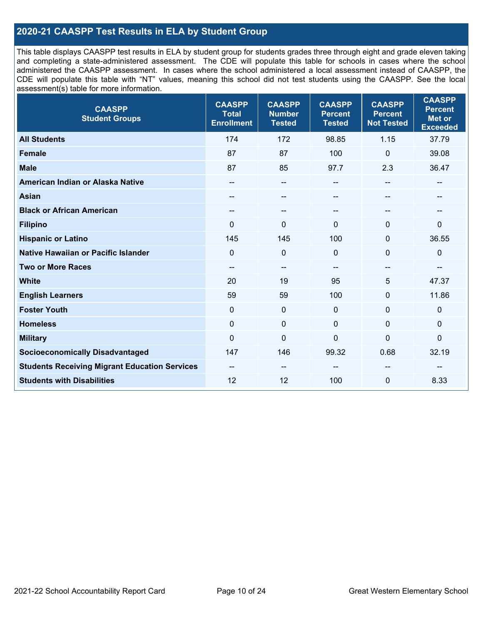### **2020-21 CAASPP Test Results in ELA by Student Group**

This table displays CAASPP test results in ELA by student group for students grades three through eight and grade eleven taking and completing a state-administered assessment. The CDE will populate this table for schools in cases where the school administered the CAASPP assessment. In cases where the school administered a local assessment instead of CAASPP, the CDE will populate this table with "NT" values, meaning this school did not test students using the CAASPP. See the local assessment(s) table for more information.

| <b>CAASPP</b><br><b>Student Groups</b>               | <b>CAASPP</b><br><b>Total</b><br><b>Enrollment</b> | <b>CAASPP</b><br><b>Number</b><br><b>Tested</b> | <b>CAASPP</b><br><b>Percent</b><br><b>Tested</b> | <b>CAASPP</b><br><b>Percent</b><br><b>Not Tested</b> | <b>CAASPP</b><br><b>Percent</b><br><b>Met or</b><br><b>Exceeded</b> |
|------------------------------------------------------|----------------------------------------------------|-------------------------------------------------|--------------------------------------------------|------------------------------------------------------|---------------------------------------------------------------------|
| <b>All Students</b>                                  | 174                                                | 172                                             | 98.85                                            | 1.15                                                 | 37.79                                                               |
| <b>Female</b>                                        | 87                                                 | 87                                              | 100                                              | $\mathbf 0$                                          | 39.08                                                               |
| <b>Male</b>                                          | 87                                                 | 85                                              | 97.7                                             | 2.3                                                  | 36.47                                                               |
| American Indian or Alaska Native                     | $\qquad \qquad -$                                  | $\overline{\phantom{a}}$                        | $-$                                              | $\overline{\phantom{a}}$                             | --                                                                  |
| <b>Asian</b>                                         | --                                                 | --                                              | --                                               |                                                      | --                                                                  |
| <b>Black or African American</b>                     | --                                                 | $\overline{\phantom{m}}$                        | --                                               | --                                                   | --                                                                  |
| <b>Filipino</b>                                      | $\Omega$                                           | $\mathbf{0}$                                    | $\mathbf{0}$                                     | $\Omega$                                             | 0                                                                   |
| <b>Hispanic or Latino</b>                            | 145                                                | 145                                             | 100                                              | $\mathbf{0}$                                         | 36.55                                                               |
| Native Hawaiian or Pacific Islander                  | $\mathbf 0$                                        | $\mathbf 0$                                     | $\mathbf{0}$                                     | $\mathbf 0$                                          | $\mathbf 0$                                                         |
| <b>Two or More Races</b>                             | --                                                 | $\qquad \qquad -$                               |                                                  | --                                                   | --                                                                  |
| <b>White</b>                                         | 20                                                 | 19                                              | 95                                               | 5                                                    | 47.37                                                               |
| <b>English Learners</b>                              | 59                                                 | 59                                              | 100                                              | 0                                                    | 11.86                                                               |
| <b>Foster Youth</b>                                  | 0                                                  | $\mathbf 0$                                     | $\mathbf 0$                                      | $\mathbf 0$                                          | $\mathbf 0$                                                         |
| <b>Homeless</b>                                      | 0                                                  | $\pmb{0}$                                       | $\mathbf 0$                                      | $\mathbf 0$                                          | $\mathbf 0$                                                         |
| <b>Military</b>                                      | $\mathbf 0$                                        | $\pmb{0}$                                       | 0                                                | 0                                                    | 0                                                                   |
| <b>Socioeconomically Disadvantaged</b>               | 147                                                | 146                                             | 99.32                                            | 0.68                                                 | 32.19                                                               |
| <b>Students Receiving Migrant Education Services</b> | --                                                 | --                                              |                                                  |                                                      |                                                                     |
| <b>Students with Disabilities</b>                    | 12                                                 | 12                                              | 100                                              | $\mathbf 0$                                          | 8.33                                                                |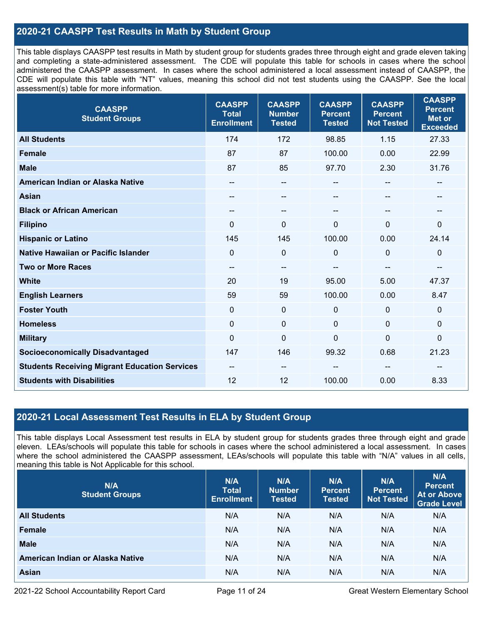### **2020-21 CAASPP Test Results in Math by Student Group**

This table displays CAASPP test results in Math by student group for students grades three through eight and grade eleven taking and completing a state-administered assessment. The CDE will populate this table for schools in cases where the school administered the CAASPP assessment. In cases where the school administered a local assessment instead of CAASPP, the CDE will populate this table with "NT" values, meaning this school did not test students using the CAASPP. See the local assessment(s) table for more information.

| <b>CAASPP</b><br><b>Student Groups</b>               | <b>CAASPP</b><br><b>Total</b><br><b>Enrollment</b> | <b>CAASPP</b><br><b>Number</b><br><b>Tested</b> | <b>CAASPP</b><br><b>Percent</b><br><b>Tested</b> | <b>CAASPP</b><br><b>Percent</b><br><b>Not Tested</b> | <b>CAASPP</b><br><b>Percent</b><br><b>Met or</b><br><b>Exceeded</b> |
|------------------------------------------------------|----------------------------------------------------|-------------------------------------------------|--------------------------------------------------|------------------------------------------------------|---------------------------------------------------------------------|
| <b>All Students</b>                                  | 174                                                | 172                                             | 98.85                                            | 1.15                                                 | 27.33                                                               |
| <b>Female</b>                                        | 87                                                 | 87                                              | 100.00                                           | 0.00                                                 | 22.99                                                               |
| <b>Male</b>                                          | 87                                                 | 85                                              | 97.70                                            | 2.30                                                 | 31.76                                                               |
| American Indian or Alaska Native                     | --                                                 | --                                              | --                                               | --                                                   | $\overline{\phantom{a}}$                                            |
| <b>Asian</b>                                         |                                                    | --                                              |                                                  |                                                      | --                                                                  |
| <b>Black or African American</b>                     | --                                                 | --                                              | --                                               | --                                                   | --                                                                  |
| <b>Filipino</b>                                      | $\Omega$                                           | 0                                               | $\mathbf 0$                                      | $\Omega$                                             | $\mathbf 0$                                                         |
| <b>Hispanic or Latino</b>                            | 145                                                | 145                                             | 100.00                                           | 0.00                                                 | 24.14                                                               |
| Native Hawaiian or Pacific Islander                  | $\mathbf 0$                                        | 0                                               | $\mathbf 0$                                      | 0                                                    | $\mathbf 0$                                                         |
| <b>Two or More Races</b>                             | $\qquad \qquad -$                                  | --                                              |                                                  | --                                                   | --                                                                  |
| <b>White</b>                                         | 20                                                 | 19                                              | 95.00                                            | 5.00                                                 | 47.37                                                               |
| <b>English Learners</b>                              | 59                                                 | 59                                              | 100.00                                           | 0.00                                                 | 8.47                                                                |
| <b>Foster Youth</b>                                  | $\mathbf 0$                                        | 0                                               | $\mathbf 0$                                      | 0                                                    | $\mathbf 0$                                                         |
| <b>Homeless</b>                                      | $\mathbf 0$                                        | $\boldsymbol{0}$                                | $\mathbf 0$                                      | $\Omega$                                             | $\mathbf 0$                                                         |
| <b>Military</b>                                      | $\overline{0}$                                     | 0                                               | $\mathbf 0$                                      | $\overline{0}$                                       | $\pmb{0}$                                                           |
| <b>Socioeconomically Disadvantaged</b>               | 147                                                | 146                                             | 99.32                                            | 0.68                                                 | 21.23                                                               |
| <b>Students Receiving Migrant Education Services</b> | --                                                 | --                                              |                                                  |                                                      |                                                                     |
| <b>Students with Disabilities</b>                    | 12                                                 | 12                                              | 100.00                                           | 0.00                                                 | 8.33                                                                |

### **2020-21 Local Assessment Test Results in ELA by Student Group**

This table displays Local Assessment test results in ELA by student group for students grades three through eight and grade eleven. LEAs/schools will populate this table for schools in cases where the school administered a local assessment. In cases where the school administered the CAASPP assessment, LEAs/schools will populate this table with "N/A" values in all cells, meaning this table is Not Applicable for this school.

| N/A<br><b>Student Groups</b>     | N/A<br><b>Total</b><br><b>Enrollment</b> | N/A<br><b>Number</b><br><b>Tested</b> | N/A<br><b>Percent</b><br><b>Tested</b> | N/A<br><b>Percent</b><br><b>Not Tested</b> | N/A<br><b>Percent</b><br><b>At or Above</b><br><b>Grade Level</b> |
|----------------------------------|------------------------------------------|---------------------------------------|----------------------------------------|--------------------------------------------|-------------------------------------------------------------------|
| <b>All Students</b>              | N/A                                      | N/A                                   | N/A                                    | N/A                                        | N/A                                                               |
| Female                           | N/A                                      | N/A                                   | N/A                                    | N/A                                        | N/A                                                               |
| <b>Male</b>                      | N/A                                      | N/A                                   | N/A                                    | N/A                                        | N/A                                                               |
| American Indian or Alaska Native | N/A                                      | N/A                                   | N/A                                    | N/A                                        | N/A                                                               |
| <b>Asian</b>                     | N/A                                      | N/A                                   | N/A                                    | N/A                                        | N/A                                                               |

2021-22 School Accountability Report Card **Page 11 of 24** Great Western Elementary School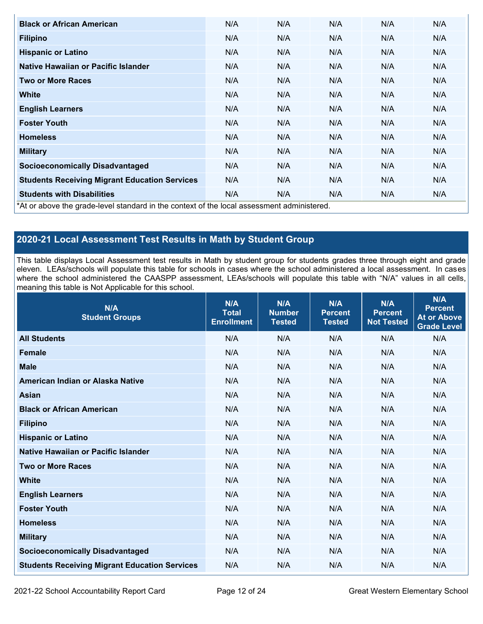| <b>Black or African American</b>                                                          | N/A | N/A | N/A | N/A | N/A |
|-------------------------------------------------------------------------------------------|-----|-----|-----|-----|-----|
| <b>Filipino</b>                                                                           | N/A | N/A | N/A | N/A | N/A |
| <b>Hispanic or Latino</b>                                                                 | N/A | N/A | N/A | N/A | N/A |
| Native Hawaiian or Pacific Islander                                                       | N/A | N/A | N/A | N/A | N/A |
| <b>Two or More Races</b>                                                                  | N/A | N/A | N/A | N/A | N/A |
| White                                                                                     | N/A | N/A | N/A | N/A | N/A |
| <b>English Learners</b>                                                                   | N/A | N/A | N/A | N/A | N/A |
| <b>Foster Youth</b>                                                                       | N/A | N/A | N/A | N/A | N/A |
| <b>Homeless</b>                                                                           | N/A | N/A | N/A | N/A | N/A |
| <b>Military</b>                                                                           | N/A | N/A | N/A | N/A | N/A |
| <b>Socioeconomically Disadvantaged</b>                                                    | N/A | N/A | N/A | N/A | N/A |
| <b>Students Receiving Migrant Education Services</b>                                      | N/A | N/A | N/A | N/A | N/A |
| <b>Students with Disabilities</b>                                                         | N/A | N/A | N/A | N/A | N/A |
| *At or above the grade-level standard in the context of the local assessment administered |     |     |     |     |     |

\*At or above the grade-level standard in the context of the local assessment administered.

# **2020-21 Local Assessment Test Results in Math by Student Group**

This table displays Local Assessment test results in Math by student group for students grades three through eight and grade eleven. LEAs/schools will populate this table for schools in cases where the school administered a local assessment. In cases where the school administered the CAASPP assessment, LEAs/schools will populate this table with "N/A" values in all cells, meaning this table is Not Applicable for this school.

| N/A<br><b>Student Groups</b>                         | N/A<br><b>Total</b><br><b>Enrollment</b> | N/A<br><b>Number</b><br><b>Tested</b> | N/A<br><b>Percent</b><br><b>Tested</b> | N/A<br><b>Percent</b><br><b>Not Tested</b> | N/A<br><b>Percent</b><br><b>At or Above</b><br><b>Grade Level</b> |
|------------------------------------------------------|------------------------------------------|---------------------------------------|----------------------------------------|--------------------------------------------|-------------------------------------------------------------------|
| <b>All Students</b>                                  | N/A                                      | N/A                                   | N/A                                    | N/A                                        | N/A                                                               |
| <b>Female</b>                                        | N/A                                      | N/A                                   | N/A                                    | N/A                                        | N/A                                                               |
| <b>Male</b>                                          | N/A                                      | N/A                                   | N/A                                    | N/A                                        | N/A                                                               |
| American Indian or Alaska Native                     | N/A                                      | N/A                                   | N/A                                    | N/A                                        | N/A                                                               |
| <b>Asian</b>                                         | N/A                                      | N/A                                   | N/A                                    | N/A                                        | N/A                                                               |
| <b>Black or African American</b>                     | N/A                                      | N/A                                   | N/A                                    | N/A                                        | N/A                                                               |
| <b>Filipino</b>                                      | N/A                                      | N/A                                   | N/A                                    | N/A                                        | N/A                                                               |
| <b>Hispanic or Latino</b>                            | N/A                                      | N/A                                   | N/A                                    | N/A                                        | N/A                                                               |
| Native Hawaiian or Pacific Islander                  | N/A                                      | N/A                                   | N/A                                    | N/A                                        | N/A                                                               |
| <b>Two or More Races</b>                             | N/A                                      | N/A                                   | N/A                                    | N/A                                        | N/A                                                               |
| <b>White</b>                                         | N/A                                      | N/A                                   | N/A                                    | N/A                                        | N/A                                                               |
| <b>English Learners</b>                              | N/A                                      | N/A                                   | N/A                                    | N/A                                        | N/A                                                               |
| <b>Foster Youth</b>                                  | N/A                                      | N/A                                   | N/A                                    | N/A                                        | N/A                                                               |
| <b>Homeless</b>                                      | N/A                                      | N/A                                   | N/A                                    | N/A                                        | N/A                                                               |
| <b>Military</b>                                      | N/A                                      | N/A                                   | N/A                                    | N/A                                        | N/A                                                               |
| <b>Socioeconomically Disadvantaged</b>               | N/A                                      | N/A                                   | N/A                                    | N/A                                        | N/A                                                               |
| <b>Students Receiving Migrant Education Services</b> | N/A                                      | N/A                                   | N/A                                    | N/A                                        | N/A                                                               |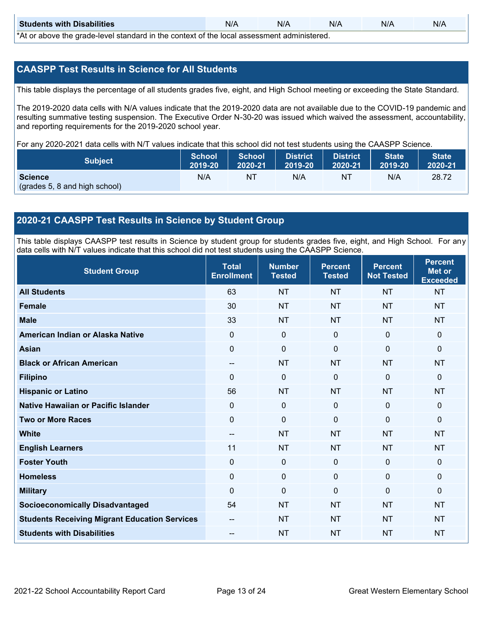| <b>Students with Disabilities</b>                                                           | N/A | N/A | N/A | N/A | N/A |  |  |
|---------------------------------------------------------------------------------------------|-----|-----|-----|-----|-----|--|--|
| *At as above the escale level standard in the context of the local accordinate admissioned. |     |     |     |     |     |  |  |

\*At or above the grade-level standard in the context of the local assessment administered.

#### **CAASPP Test Results in Science for All Students**

This table displays the percentage of all students grades five, eight, and High School meeting or exceeding the State Standard.

The 2019-2020 data cells with N/A values indicate that the 2019-2020 data are not available due to the COVID-19 pandemic and resulting summative testing suspension. The Executive Order N-30-20 was issued which waived the assessment, accountability, and reporting requirements for the 2019-2020 school year.

For any 2020-2021 data cells with N/T values indicate that this school did not test students using the CAASPP Science.

| <b>Subject</b>                | <b>School</b><br>2019-20 | <b>School</b><br>2020-21 | <b>District</b><br>12019-20 | District<br>2020-21 | <b>State</b><br>2019-20 | <b>State</b><br>2020-21 |
|-------------------------------|--------------------------|--------------------------|-----------------------------|---------------------|-------------------------|-------------------------|
| <b>Science</b>                | N/A                      | ΝT                       | N/A                         | NT                  | N/A                     | 28.72                   |
| (grades 5, 8 and high school) |                          |                          |                             |                     |                         |                         |

### **2020-21 CAASPP Test Results in Science by Student Group**

This table displays CAASPP test results in Science by student group for students grades five, eight, and High School. For any data cells with N/T values indicate that this school did not test students using the CAASPP Science.

| <b>Student Group</b>                                 | <b>Total</b><br><b>Enrollment</b> | <b>Number</b><br><b>Tested</b> | <b>Percent</b><br><b>Tested</b> | <b>Percent</b><br><b>Not Tested</b> | <b>Percent</b><br><b>Met or</b><br><b>Exceeded</b> |
|------------------------------------------------------|-----------------------------------|--------------------------------|---------------------------------|-------------------------------------|----------------------------------------------------|
| <b>All Students</b>                                  | 63                                | <b>NT</b>                      | <b>NT</b>                       | <b>NT</b>                           | <b>NT</b>                                          |
| <b>Female</b>                                        | 30                                | <b>NT</b>                      | <b>NT</b>                       | <b>NT</b>                           | <b>NT</b>                                          |
| <b>Male</b>                                          | 33                                | <b>NT</b>                      | <b>NT</b>                       | <b>NT</b>                           | <b>NT</b>                                          |
| American Indian or Alaska Native                     | 0                                 | $\mathbf 0$                    | $\mathbf 0$                     | $\mathbf 0$                         | $\mathbf{0}$                                       |
| <b>Asian</b>                                         | $\mathbf 0$                       | $\mathbf 0$                    | $\mathbf 0$                     | $\mathbf 0$                         | $\mathbf{0}$                                       |
| <b>Black or African American</b>                     | --                                | <b>NT</b>                      | <b>NT</b>                       | <b>NT</b>                           | <b>NT</b>                                          |
| <b>Filipino</b>                                      | $\Omega$                          | $\mathbf 0$                    | $\mathbf{0}$                    | $\mathbf{0}$                        | $\mathbf 0$                                        |
| <b>Hispanic or Latino</b>                            | 56                                | <b>NT</b>                      | <b>NT</b>                       | <b>NT</b>                           | <b>NT</b>                                          |
| Native Hawaiian or Pacific Islander                  | $\mathbf 0$                       | $\mathbf 0$                    | $\mathbf{0}$                    | $\mathbf 0$                         | $\mathbf{0}$                                       |
| <b>Two or More Races</b>                             | $\Omega$                          | $\mathbf 0$                    | $\Omega$                        | $\mathbf{0}$                        | $\mathbf 0$                                        |
| <b>White</b>                                         | $\overline{\phantom{a}}$          | <b>NT</b>                      | <b>NT</b>                       | <b>NT</b>                           | <b>NT</b>                                          |
| <b>English Learners</b>                              | 11                                | <b>NT</b>                      | <b>NT</b>                       | <b>NT</b>                           | <b>NT</b>                                          |
| <b>Foster Youth</b>                                  | $\mathbf 0$                       | $\mathbf 0$                    | $\mathbf 0$                     | $\mathbf 0$                         | $\mathbf{0}$                                       |
| <b>Homeless</b>                                      | 0                                 | $\mathbf{0}$                   | $\mathbf 0$                     | $\mathbf 0$                         | $\mathbf 0$                                        |
| <b>Military</b>                                      | $\Omega$                          | $\mathbf 0$                    | $\mathbf{0}$                    | $\mathbf{0}$                        | $\mathbf{0}$                                       |
| <b>Socioeconomically Disadvantaged</b>               | 54                                | <b>NT</b>                      | <b>NT</b>                       | <b>NT</b>                           | <b>NT</b>                                          |
| <b>Students Receiving Migrant Education Services</b> | --                                | <b>NT</b>                      | <b>NT</b>                       | <b>NT</b>                           | <b>NT</b>                                          |
| <b>Students with Disabilities</b>                    | $\qquad \qquad -$                 | <b>NT</b>                      | <b>NT</b>                       | <b>NT</b>                           | <b>NT</b>                                          |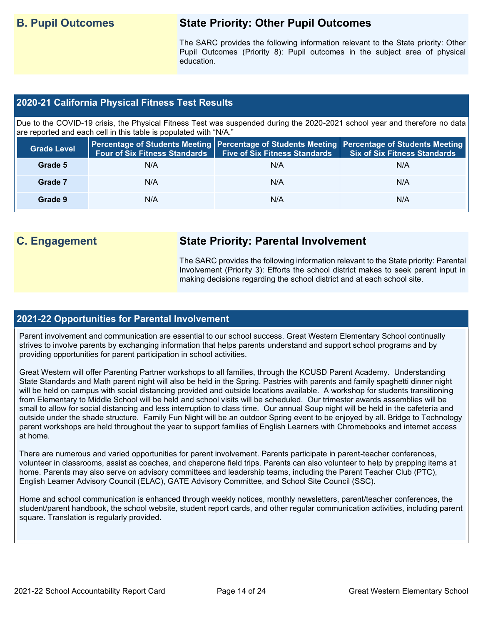# **B. Pupil Outcomes State Priority: Other Pupil Outcomes**

The SARC provides the following information relevant to the State priority: Other Pupil Outcomes (Priority 8): Pupil outcomes in the subject area of physical education.

#### **2020-21 California Physical Fitness Test Results**

Due to the COVID-19 crisis, the Physical Fitness Test was suspended during the 2020-2021 school year and therefore no data are reported and each cell in this table is populated with "N/A."

| <b>Grade Level</b> | <b>Four of Six Fitness Standards</b> | <b>Five of Six Fitness Standards</b> | Percentage of Students Meeting   Percentage of Students Meeting   Percentage of Students Meeting  <br><b>Six of Six Fitness Standards</b> |
|--------------------|--------------------------------------|--------------------------------------|-------------------------------------------------------------------------------------------------------------------------------------------|
| Grade 5            | N/A                                  | N/A                                  | N/A                                                                                                                                       |
| Grade 7            | N/A                                  | N/A                                  | N/A                                                                                                                                       |
| Grade 9            | N/A                                  | N/A                                  | N/A                                                                                                                                       |

# **C. Engagement State Priority: Parental Involvement**

The SARC provides the following information relevant to the State priority: Parental Involvement (Priority 3): Efforts the school district makes to seek parent input in making decisions regarding the school district and at each school site.

#### **2021-22 Opportunities for Parental Involvement**

Parent involvement and communication are essential to our school success. Great Western Elementary School continually strives to involve parents by exchanging information that helps parents understand and support school programs and by providing opportunities for parent participation in school activities.

Great Western will offer Parenting Partner workshops to all families, through the KCUSD Parent Academy. Understanding State Standards and Math parent night will also be held in the Spring. Pastries with parents and family spaghetti dinner night will be held on campus with social distancing provided and outside locations available. A workshop for students transitioning from Elementary to Middle School will be held and school visits will be scheduled. Our trimester awards assemblies will be small to allow for social distancing and less interruption to class time. Our annual Soup night will be held in the cafeteria and outside under the shade structure. Family Fun Night will be an outdoor Spring event to be enjoyed by all. Bridge to Technology parent workshops are held throughout the year to support families of English Learners with Chromebooks and internet access at home.

There are numerous and varied opportunities for parent involvement. Parents participate in parent-teacher conferences, volunteer in classrooms, assist as coaches, and chaperone field trips. Parents can also volunteer to help by prepping items at home. Parents may also serve on advisory committees and leadership teams, including the Parent Teacher Club (PTC), English Learner Advisory Council (ELAC), GATE Advisory Committee, and School Site Council (SSC).

Home and school communication is enhanced through weekly notices, monthly newsletters, parent/teacher conferences, the student/parent handbook, the school website, student report cards, and other regular communication activities, including parent square. Translation is regularly provided.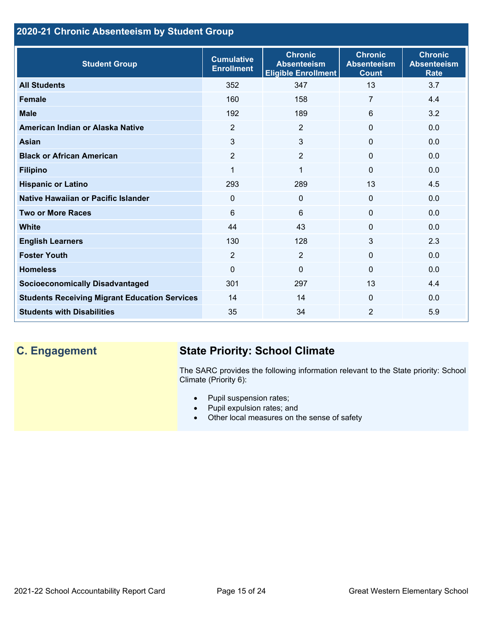## **2020-21 Chronic Absenteeism by Student Group**

| <b>Student Group</b>                                 | <b>Cumulative</b><br><b>Enrollment</b> | <b>Chronic</b><br><b>Absenteeism</b><br><b>Eligible Enrollment</b> | <b>Chronic</b><br><b>Absenteeism</b><br><b>Count</b> | <b>Chronic</b><br><b>Absenteeism</b><br><b>Rate</b> |
|------------------------------------------------------|----------------------------------------|--------------------------------------------------------------------|------------------------------------------------------|-----------------------------------------------------|
| <b>All Students</b>                                  | 352                                    | 347                                                                | 13                                                   | 3.7                                                 |
| <b>Female</b>                                        | 160                                    | 158                                                                | 7                                                    | 4.4                                                 |
| <b>Male</b>                                          | 192                                    | 189                                                                | 6                                                    | 3.2                                                 |
| American Indian or Alaska Native                     | 2                                      | 2                                                                  | $\mathbf{0}$                                         | 0.0                                                 |
| <b>Asian</b>                                         | 3                                      | 3                                                                  | $\mathbf 0$                                          | 0.0                                                 |
| <b>Black or African American</b>                     | $\overline{2}$                         | $\overline{2}$                                                     | $\mathbf{0}$                                         | 0.0                                                 |
| <b>Filipino</b>                                      | $\mathbf{1}$                           | $\mathbf{1}$                                                       | $\mathbf{0}$                                         | 0.0                                                 |
| <b>Hispanic or Latino</b>                            | 293                                    | 289                                                                | 13                                                   | 4.5                                                 |
| Native Hawaiian or Pacific Islander                  | 0                                      | $\mathbf 0$                                                        | $\mathbf 0$                                          | 0.0                                                 |
| <b>Two or More Races</b>                             | 6                                      | 6                                                                  | $\mathbf{0}$                                         | 0.0                                                 |
| <b>White</b>                                         | 44                                     | 43                                                                 | $\mathbf{0}$                                         | 0.0                                                 |
| <b>English Learners</b>                              | 130                                    | 128                                                                | 3                                                    | 2.3                                                 |
| <b>Foster Youth</b>                                  | $\overline{2}$                         | $\overline{2}$                                                     | $\Omega$                                             | 0.0                                                 |
| <b>Homeless</b>                                      | 0                                      | $\mathbf 0$                                                        | $\Omega$                                             | 0.0                                                 |
| <b>Socioeconomically Disadvantaged</b>               | 301                                    | 297                                                                | 13                                                   | 4.4                                                 |
| <b>Students Receiving Migrant Education Services</b> | 14                                     | 14                                                                 | $\mathbf{0}$                                         | 0.0                                                 |
| <b>Students with Disabilities</b>                    | 35                                     | 34                                                                 | $\overline{2}$                                       | 5.9                                                 |

# **C. Engagement State Priority: School Climate**

The SARC provides the following information relevant to the State priority: School Climate (Priority 6):

- Pupil suspension rates;
- Pupil expulsion rates; and
- Other local measures on the sense of safety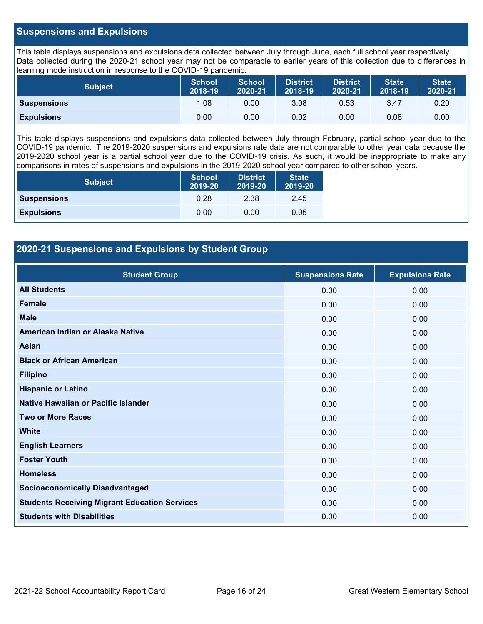#### **Suspensions and Expulsions**

This table displays suspensions and expulsions data collected between July through June, each full school year respectively. Data collected during the 2020-21 school year may not be comparable to earlier years of this collection due to differences in learning mode instruction in response to the COVID-19 pandemic.

| <b>Subject</b>     | <b>School</b><br>2018-19 | <b>School</b><br>2020-21 | <b>District</b><br>2018-19 | <b>District</b><br>2020-21 | <b>State</b><br>2018-19 | <b>State</b><br>2020-21 |
|--------------------|--------------------------|--------------------------|----------------------------|----------------------------|-------------------------|-------------------------|
| <b>Suspensions</b> | 1.08                     | 0.00                     | 3.08                       | 0.53                       | 3.47                    | 0.20                    |
| <b>Expulsions</b>  | 0.00                     | 0.00                     | 0.02                       | 0.00                       | 0.08                    | 0.00                    |

This table displays suspensions and expulsions data collected between July through February, partial school year due to the COVID-19 pandemic. The 2019-2020 suspensions and expulsions rate data are not comparable to other year data because the 2019-2020 school year is a partial school year due to the COVID-19 crisis. As such, it would be inappropriate to make any comparisons in rates of suspensions and expulsions in the 2019-2020 school year compared to other school years.

| <b>Subject</b>     | School<br>2019-20 | <b>District</b><br>2019-20 | <b>State</b><br>2019-20 |
|--------------------|-------------------|----------------------------|-------------------------|
| <b>Suspensions</b> | 0.28              | 2.38                       | 2.45                    |
| <b>Expulsions</b>  | 0.00              | 0.00                       | 0.05                    |

### **2020-21 Suspensions and Expulsions by Student Group**

| <b>Student Group</b>                                 | <b>Suspensions Rate</b> | <b>Expulsions Rate</b> |
|------------------------------------------------------|-------------------------|------------------------|
| <b>All Students</b>                                  | 0.00                    | 0.00                   |
| <b>Female</b>                                        | 0.00                    | 0.00                   |
| <b>Male</b>                                          | 0.00                    | 0.00                   |
| American Indian or Alaska Native                     | 0.00                    | 0.00                   |
| <b>Asian</b>                                         | 0.00                    | 0.00                   |
| <b>Black or African American</b>                     | 0.00                    | 0.00                   |
| <b>Filipino</b>                                      | 0.00                    | 0.00                   |
| <b>Hispanic or Latino</b>                            | 0.00                    | 0.00                   |
| Native Hawaiian or Pacific Islander                  | 0.00                    | 0.00                   |
| <b>Two or More Races</b>                             | 0.00                    | 0.00                   |
| <b>White</b>                                         | 0.00                    | 0.00                   |
| <b>English Learners</b>                              | 0.00                    | 0.00                   |
| <b>Foster Youth</b>                                  | 0.00                    | 0.00                   |
| <b>Homeless</b>                                      | 0.00                    | 0.00                   |
| <b>Socioeconomically Disadvantaged</b>               | 0.00                    | 0.00                   |
| <b>Students Receiving Migrant Education Services</b> | 0.00                    | 0.00                   |
| <b>Students with Disabilities</b>                    | 0.00                    | 0.00                   |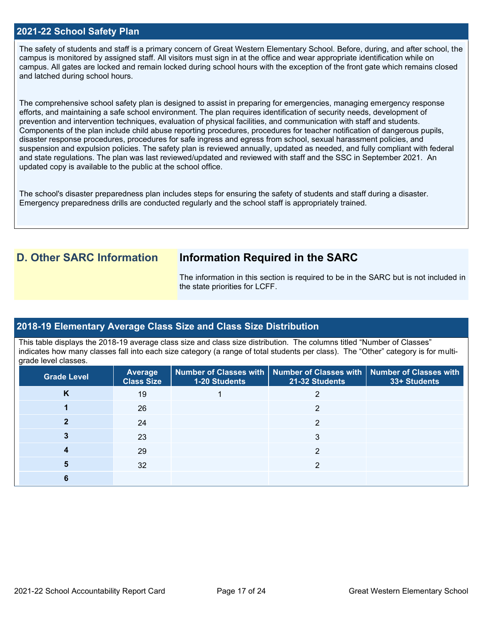#### **2021-22 School Safety Plan**

The safety of students and staff is a primary concern of Great Western Elementary School. Before, during, and after school, the campus is monitored by assigned staff. All visitors must sign in at the office and wear appropriate identification while on campus. All gates are locked and remain locked during school hours with the exception of the front gate which remains closed and latched during school hours.

The comprehensive school safety plan is designed to assist in preparing for emergencies, managing emergency response efforts, and maintaining a safe school environment. The plan requires identification of security needs, development of prevention and intervention techniques, evaluation of physical facilities, and communication with staff and students. Components of the plan include child abuse reporting procedures, procedures for teacher notification of dangerous pupils, disaster response procedures, procedures for safe ingress and egress from school, sexual harassment policies, and suspension and expulsion policies. The safety plan is reviewed annually, updated as needed, and fully compliant with federal and state regulations. The plan was last reviewed/updated and reviewed with staff and the SSC in September 2021. An updated copy is available to the public at the school office.

The school's disaster preparedness plan includes steps for ensuring the safety of students and staff during a disaster. Emergency preparedness drills are conducted regularly and the school staff is appropriately trained.

## **D. Other SARC Information Information Required in the SARC**

The information in this section is required to be in the SARC but is not included in the state priorities for LCFF.

#### **2018-19 Elementary Average Class Size and Class Size Distribution**

This table displays the 2018-19 average class size and class size distribution. The columns titled "Number of Classes" indicates how many classes fall into each size category (a range of total students per class). The "Other" category is for multigrade level classes.

| <b>Grade Level</b> | Average<br><b>Class Size</b> | 1-20 Students | Number of Classes with   Number of Classes with   Number of Classes with<br>21-32 Students | 33+ Students |
|--------------------|------------------------------|---------------|--------------------------------------------------------------------------------------------|--------------|
| K                  | 19                           |               |                                                                                            |              |
|                    | 26                           |               | 2                                                                                          |              |
|                    | 24                           |               | っ                                                                                          |              |
|                    | 23                           |               | 3                                                                                          |              |
|                    | 29                           |               | 2                                                                                          |              |
|                    | 32                           |               |                                                                                            |              |
|                    |                              |               |                                                                                            |              |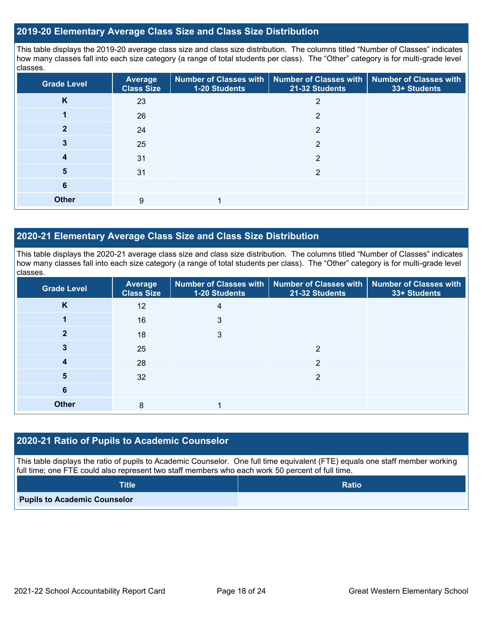#### **2019-20 Elementary Average Class Size and Class Size Distribution**

This table displays the 2019-20 average class size and class size distribution. The columns titled "Number of Classes" indicates how many classes fall into each size category (a range of total students per class). The "Other" category is for multi-grade level classes.

| <b>Grade Level</b> | <b>Average</b><br><b>Class Size</b> | 1-20 Students | Number of Classes with   Number of Classes with   Number of Classes with<br>21-32 Students | 33+ Students |
|--------------------|-------------------------------------|---------------|--------------------------------------------------------------------------------------------|--------------|
| K                  | 23                                  |               | 2                                                                                          |              |
|                    | 26                                  |               | 2                                                                                          |              |
| າ                  | 24                                  |               | $\overline{2}$                                                                             |              |
| 3                  | 25                                  |               | 2                                                                                          |              |
| 4                  | 31                                  |               | 2                                                                                          |              |
| 5                  | 31                                  |               | っ                                                                                          |              |
| 6                  |                                     |               |                                                                                            |              |
| <b>Other</b>       | 9                                   |               |                                                                                            |              |

### **2020-21 Elementary Average Class Size and Class Size Distribution**

This table displays the 2020-21 average class size and class size distribution. The columns titled "Number of Classes" indicates how many classes fall into each size category (a range of total students per class). The "Other" category is for multi-grade level classes.

| <b>Grade Level</b> | <b>Average</b><br><b>Class Size</b> | 1-20 Students | Number of Classes with   Number of Classes with   Number of Classes with<br>21-32 Students | 33+ Students |
|--------------------|-------------------------------------|---------------|--------------------------------------------------------------------------------------------|--------------|
| K                  | 12                                  | 4             |                                                                                            |              |
|                    | 16                                  | 3             |                                                                                            |              |
| 2                  | 18                                  | 3             |                                                                                            |              |
|                    | 25                                  |               | 2                                                                                          |              |
| 4                  | 28                                  |               | 2                                                                                          |              |
| 5                  | 32                                  |               | 2                                                                                          |              |
| 6                  |                                     |               |                                                                                            |              |
| <b>Other</b>       | 8                                   |               |                                                                                            |              |

### **2020-21 Ratio of Pupils to Academic Counselor**

This table displays the ratio of pupils to Academic Counselor. One full time equivalent (FTE) equals one staff member working full time; one FTE could also represent two staff members who each work 50 percent of full time.

| <b>Title</b>                        | <b>Ratio</b> |
|-------------------------------------|--------------|
| <b>Pupils to Academic Counselor</b> |              |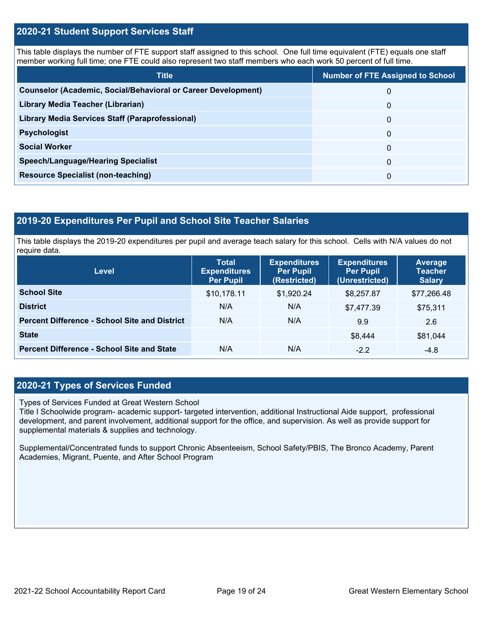#### **2020-21 Student Support Services Staff**

This table displays the number of FTE support staff assigned to this school. One full time equivalent (FTE) equals one staff member working full time; one FTE could also represent two staff members who each work 50 percent of full time.

| <b>Title</b>                                                         | <b>Number of FTE Assigned to School</b> |
|----------------------------------------------------------------------|-----------------------------------------|
| <b>Counselor (Academic, Social/Behavioral or Career Development)</b> | 0                                       |
| Library Media Teacher (Librarian)                                    | 0                                       |
| Library Media Services Staff (Paraprofessional)                      | 0                                       |
| <b>Psychologist</b>                                                  | 0                                       |
| <b>Social Worker</b>                                                 | $\Omega$                                |
| <b>Speech/Language/Hearing Specialist</b>                            | 0                                       |
| <b>Resource Specialist (non-teaching)</b>                            | 0                                       |

## **2019-20 Expenditures Per Pupil and School Site Teacher Salaries**

This table displays the 2019-20 expenditures per pupil and average teach salary for this school. Cells with N/A values do not require data.

| Level                                                | <b>Total</b><br><b>Expenditures</b><br><b>Per Pupil</b> | <b>Expenditures</b><br><b>Per Pupil</b><br>(Restricted) | <b>Expenditures</b><br><b>Per Pupil</b><br>(Unrestricted) | <b>Average</b><br><b>Teacher</b><br><b>Salary</b> |
|------------------------------------------------------|---------------------------------------------------------|---------------------------------------------------------|-----------------------------------------------------------|---------------------------------------------------|
| <b>School Site</b>                                   | \$10,178.11                                             | \$1,920.24                                              | \$8,257.87                                                | \$77,266.48                                       |
| <b>District</b>                                      | N/A                                                     | N/A                                                     | \$7,477.39                                                | \$75,311                                          |
| <b>Percent Difference - School Site and District</b> | N/A                                                     | N/A                                                     | 9.9                                                       | 2.6                                               |
| <b>State</b>                                         |                                                         |                                                         | \$8,444                                                   | \$81,044                                          |
| <b>Percent Difference - School Site and State</b>    | N/A                                                     | N/A                                                     | $-2.2$                                                    | $-4.8$                                            |

### **2020-21 Types of Services Funded**

Types of Services Funded at Great Western School

Title I Schoolwide program- academic support- targeted intervention, additional Instructional Aide support, professional development, and parent involvement, additional support for the office, and supervision. As well as provide support for supplemental materials & supplies and technology.

Supplemental/Concentrated funds to support Chronic Absenteeism, School Safety/PBIS, The Bronco Academy, Parent Academies, Migrant, Puente, and After School Program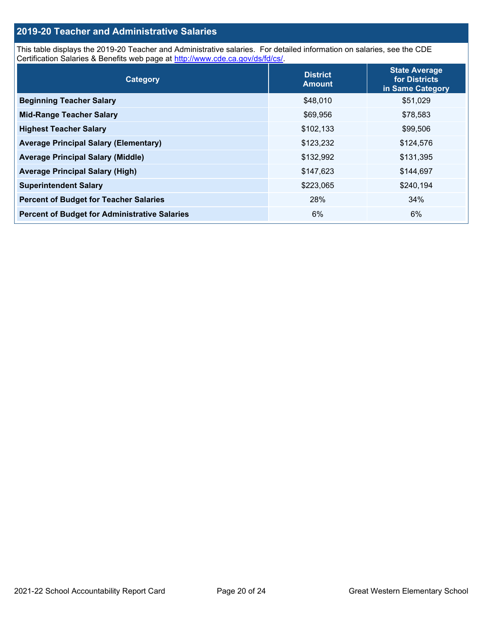### **2019-20 Teacher and Administrative Salaries**

This table displays the 2019-20 Teacher and Administrative salaries. For detailed information on salaries, see the CDE Certification Salaries & Benefits web page at [http://www.cde.ca.gov/ds/fd/cs/.](http://www.cde.ca.gov/ds/fd/cs/)

| Category                                             | <b>District</b><br><b>Amount</b> | <b>State Average</b><br>for Districts<br>in Same Category |
|------------------------------------------------------|----------------------------------|-----------------------------------------------------------|
| <b>Beginning Teacher Salary</b>                      | \$48,010                         | \$51,029                                                  |
| <b>Mid-Range Teacher Salary</b>                      | \$69,956                         | \$78,583                                                  |
| <b>Highest Teacher Salary</b>                        | \$102,133                        | \$99,506                                                  |
| <b>Average Principal Salary (Elementary)</b>         | \$123,232                        | \$124,576                                                 |
| <b>Average Principal Salary (Middle)</b>             | \$132,992                        | \$131,395                                                 |
| <b>Average Principal Salary (High)</b>               | \$147,623                        | \$144,697                                                 |
| <b>Superintendent Salary</b>                         | \$223,065                        | \$240,194                                                 |
| <b>Percent of Budget for Teacher Salaries</b>        | 28%                              | 34%                                                       |
| <b>Percent of Budget for Administrative Salaries</b> | 6%                               | 6%                                                        |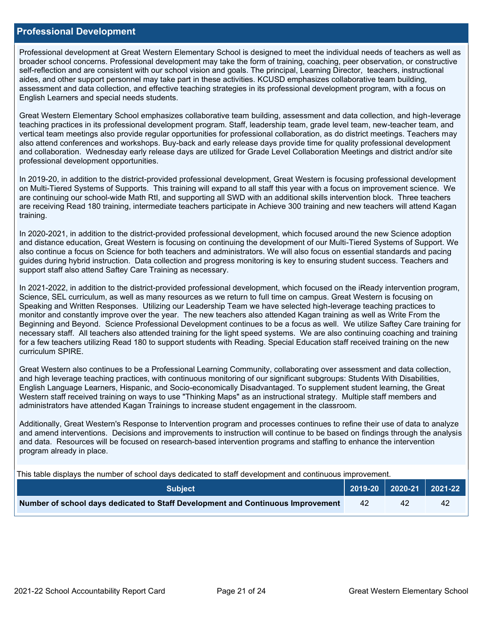#### **Professional Development**

Professional development at Great Western Elementary School is designed to meet the individual needs of teachers as well as broader school concerns. Professional development may take the form of training, coaching, peer observation, or constructive self-reflection and are consistent with our school vision and goals. The principal, Learning Director, teachers, instructional aides, and other support personnel may take part in these activities. KCUSD emphasizes collaborative team building, assessment and data collection, and effective teaching strategies in its professional development program, with a focus on English Learners and special needs students.

Great Western Elementary School emphasizes collaborative team building, assessment and data collection, and high-leverage teaching practices in its professional development program. Staff, leadership team, grade level team, new-teacher team, and vertical team meetings also provide regular opportunities for professional collaboration, as do district meetings. Teachers may also attend conferences and workshops. Buy-back and early release days provide time for quality professional development and collaboration. Wednesday early release days are utilized for Grade Level Collaboration Meetings and district and/or site professional development opportunities.

In 2019-20, in addition to the district-provided professional development, Great Western is focusing professional development on Multi-Tiered Systems of Supports. This training will expand to all staff this year with a focus on improvement science. We are continuing our school-wide Math RtI, and supporting all SWD with an additional skills intervention block. Three teachers are receiving Read 180 training, intermediate teachers participate in Achieve 300 training and new teachers will attend Kagan training.

In 2020-2021, in addition to the district-provided professional development, which focused around the new Science adoption and distance education, Great Western is focusing on continuing the development of our Multi-Tiered Systems of Support. We also continue a focus on Science for both teachers and administrators. We will also focus on essential standards and pacing guides during hybrid instruction. Data collection and progress monitoring is key to ensuring student success. Teachers and support staff also attend Saftey Care Training as necessary.

In 2021-2022, in addition to the district-provided professional development, which focused on the iReady intervention program, Science, SEL curriculum, as well as many resources as we return to full time on campus. Great Western is focusing on Speaking and Written Responses. Utilizing our Leadership Team we have selected high-leverage teaching practices to monitor and constantly improve over the year. The new teachers also attended Kagan training as well as Write From the Beginning and Beyond. Science Professional Development continues to be a focus as well. We utilize Saftey Care training for necessary staff. All teachers also attended training for the light speed systems. We are also continuing coaching and training for a few teachers utilizing Read 180 to support students with Reading. Special Education staff received training on the new curriculum SPIRE.

Great Western also continues to be a Professional Learning Community, collaborating over assessment and data collection, and high leverage teaching practices, with continuous monitoring of our significant subgroups: Students With Disabilities, English Language Learners, Hispanic, and Socio-economically Disadvantaged. To supplement student learning, the Great Western staff received training on ways to use "Thinking Maps" as an instructional strategy. Multiple staff members and administrators have attended Kagan Trainings to increase student engagement in the classroom.

Additionally, Great Western's Response to Intervention program and processes continues to refine their use of data to analyze and amend interventions. Decisions and improvements to instruction will continue to be based on findings through the analysis and data. Resources will be focused on research-based intervention programs and staffing to enhance the intervention program already in place.

This table displays the number of school days dedicated to staff development and continuous improvement.

| <b>Subject</b>                                                                  |    | $\vert$ 2019-20 $\vert$ 2020-21 $\vert$ 2021-22 $\vert$ |
|---------------------------------------------------------------------------------|----|---------------------------------------------------------|
| Number of school days dedicated to Staff Development and Continuous Improvement | 42 |                                                         |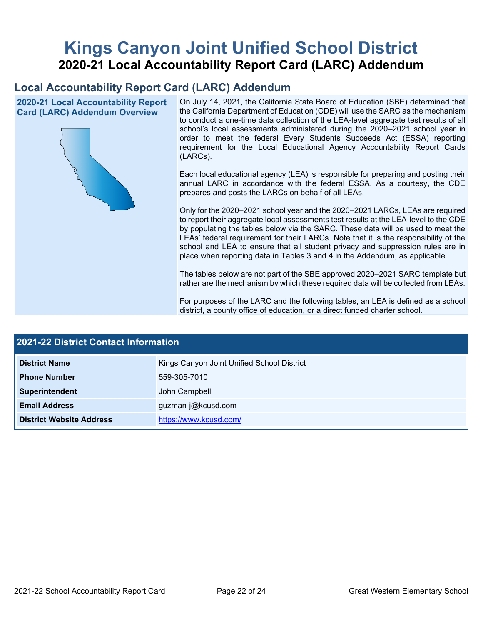# **Kings Canyon Joint Unified School District 2020-21 Local Accountability Report Card (LARC) Addendum**

# **Local Accountability Report Card (LARC) Addendum**

**2020-21 Local Accountability Report Card (LARC) Addendum Overview**



On July 14, 2021, the California State Board of Education (SBE) determined that the California Department of Education (CDE) will use the SARC as the mechanism to conduct a one-time data collection of the LEA-level aggregate test results of all school's local assessments administered during the 2020–2021 school year in order to meet the federal Every Students Succeeds Act (ESSA) reporting requirement for the Local Educational Agency Accountability Report Cards (LARCs).

Each local educational agency (LEA) is responsible for preparing and posting their annual LARC in accordance with the federal ESSA. As a courtesy, the CDE prepares and posts the LARCs on behalf of all LEAs.

Only for the 2020–2021 school year and the 2020–2021 LARCs, LEAs are required to report their aggregate local assessments test results at the LEA-level to the CDE by populating the tables below via the SARC. These data will be used to meet the LEAs' federal requirement for their LARCs. Note that it is the responsibility of the school and LEA to ensure that all student privacy and suppression rules are in place when reporting data in Tables 3 and 4 in the Addendum, as applicable.

The tables below are not part of the SBE approved 2020–2021 SARC template but rather are the mechanism by which these required data will be collected from LEAs.

For purposes of the LARC and the following tables, an LEA is defined as a school district, a county office of education, or a direct funded charter school.

| <b>2021-22 District Contact Information</b> |                                            |  |  |
|---------------------------------------------|--------------------------------------------|--|--|
| <b>District Name</b>                        | Kings Canyon Joint Unified School District |  |  |
| <b>Phone Number</b>                         | 559-305-7010                               |  |  |
| Superintendent                              | John Campbell                              |  |  |
| <b>Email Address</b>                        | guzman-j@kcusd.com                         |  |  |
| <b>District Website Address</b>             | https://www.kcusd.com/                     |  |  |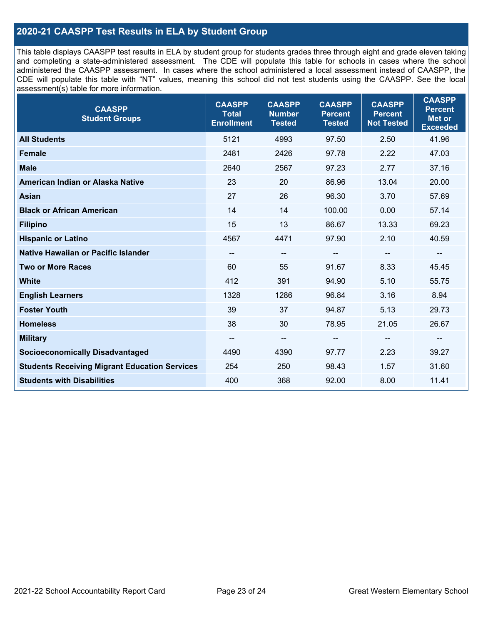### **2020-21 CAASPP Test Results in ELA by Student Group**

This table displays CAASPP test results in ELA by student group for students grades three through eight and grade eleven taking and completing a state-administered assessment. The CDE will populate this table for schools in cases where the school administered the CAASPP assessment. In cases where the school administered a local assessment instead of CAASPP, the CDE will populate this table with "NT" values, meaning this school did not test students using the CAASPP. See the local assessment(s) table for more information.

| <b>CAASPP</b><br><b>Student Groups</b>               | <b>CAASPP</b><br><b>Total</b><br><b>Enrollment</b> | <b>CAASPP</b><br><b>Number</b><br><b>Tested</b> | <b>CAASPP</b><br><b>Percent</b><br><b>Tested</b> | <b>CAASPP</b><br><b>Percent</b><br><b>Not Tested</b> | <b>CAASPP</b><br><b>Percent</b><br><b>Met or</b><br><b>Exceeded</b> |
|------------------------------------------------------|----------------------------------------------------|-------------------------------------------------|--------------------------------------------------|------------------------------------------------------|---------------------------------------------------------------------|
| <b>All Students</b>                                  | 5121                                               | 4993                                            | 97.50                                            | 2.50                                                 | 41.96                                                               |
| <b>Female</b>                                        | 2481                                               | 2426                                            | 97.78                                            | 2.22                                                 | 47.03                                                               |
| <b>Male</b>                                          | 2640                                               | 2567                                            | 97.23                                            | 2.77                                                 | 37.16                                                               |
| American Indian or Alaska Native                     | 23                                                 | 20                                              | 86.96                                            | 13.04                                                | 20.00                                                               |
| <b>Asian</b>                                         | 27                                                 | 26                                              | 96.30                                            | 3.70                                                 | 57.69                                                               |
| <b>Black or African American</b>                     | 14                                                 | 14                                              | 100.00                                           | 0.00                                                 | 57.14                                                               |
| <b>Filipino</b>                                      | 15                                                 | 13                                              | 86.67                                            | 13.33                                                | 69.23                                                               |
| <b>Hispanic or Latino</b>                            | 4567                                               | 4471                                            | 97.90                                            | 2.10                                                 | 40.59                                                               |
| Native Hawaiian or Pacific Islander                  | --                                                 | $\overline{\phantom{m}}$                        | --                                               | $\overline{\phantom{a}}$                             | $\overline{\phantom{a}}$                                            |
| <b>Two or More Races</b>                             | 60                                                 | 55                                              | 91.67                                            | 8.33                                                 | 45.45                                                               |
| <b>White</b>                                         | 412                                                | 391                                             | 94.90                                            | 5.10                                                 | 55.75                                                               |
| <b>English Learners</b>                              | 1328                                               | 1286                                            | 96.84                                            | 3.16                                                 | 8.94                                                                |
| <b>Foster Youth</b>                                  | 39                                                 | 37                                              | 94.87                                            | 5.13                                                 | 29.73                                                               |
| <b>Homeless</b>                                      | 38                                                 | 30                                              | 78.95                                            | 21.05                                                | 26.67                                                               |
| <b>Military</b>                                      | --                                                 | --                                              | --                                               | --                                                   | --                                                                  |
| <b>Socioeconomically Disadvantaged</b>               | 4490                                               | 4390                                            | 97.77                                            | 2.23                                                 | 39.27                                                               |
| <b>Students Receiving Migrant Education Services</b> | 254                                                | 250                                             | 98.43                                            | 1.57                                                 | 31.60                                                               |
| <b>Students with Disabilities</b>                    | 400                                                | 368                                             | 92.00                                            | 8.00                                                 | 11.41                                                               |